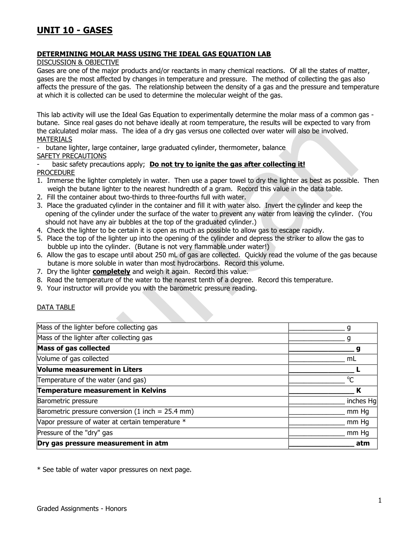## **DETERMINING MOLAR MASS USING THE IDEAL GAS EQUATION LAB**

DISCUSSION & OBJECTIVE

Gases are one of the major products and/or reactants in many chemical reactions. Of all the states of matter, gases are the most affected by changes in temperature and pressure. The method of collecting the gas also affects the pressure of the gas. The relationship between the density of a gas and the pressure and temperature at which it is collected can be used to determine the molecular weight of the gas.

This lab activity will use the Ideal Gas Equation to experimentally determine the molar mass of a common gas butane. Since real gases do not behave ideally at room temperature, the results will be expected to vary from the calculated molar mass. The idea of a dry gas versus one collected over water will also be involved. MATERIALS

- butane lighter, large container, large graduated cylinder, thermometer, balance

SAFETY PRECAUTIONS

basic safety precautions apply; **Do not try to ignite the gas after collecting it!** PROCEDURE

- 1. Immerse the lighter completely in water. Then use a paper towel to dry the lighter as best as possible. Then weigh the butane lighter to the nearest hundredth of a gram. Record this value in the data table.
- 2. Fill the container about two-thirds to three-fourths full with water.
- 3. Place the graduated cylinder in the container and fill it with water also. Invert the cylinder and keep the opening of the cylinder under the surface of the water to prevent any water from leaving the cylinder. (You should not have any air bubbles at the top of the graduated cylinder.)
- 4. Check the lighter to be certain it is open as much as possible to allow gas to escape rapidly.
- 5. Place the top of the lighter up into the opening of the cylinder and depress the striker to allow the gas to bubble up into the cylinder. (Butane is not very flammable under water!)
- 6. Allow the gas to escape until about 250 mL of gas are collected. Quickly read the volume of the gas because butane is more soluble in water than most hydrocarbons. Record this volume.
- 7. Dry the lighter **completely** and weigh it again. Record this value.
- 8. Read the temperature of the water to the nearest tenth of a degree. Record this temperature.
- 9. Your instructor will provide you with the barometric pressure reading.

### DATA TABLE

| Dry gas pressure measurement in atm                 | atm         |
|-----------------------------------------------------|-------------|
| Pressure of the "dry" gas                           | mm Hq       |
| Vapor pressure of water at certain temperature *    | mm Hq       |
| Barometric pressure conversion (1 inch = $25.4$ mm) | mm Hq       |
| Barometric pressure                                 | inches Hg   |
| Temperature measurement in Kelvins                  | К           |
| Temperature of the water (and gas)                  | $\rm ^{o}C$ |
| <b>Volume measurement in Liters</b>                 |             |
| Volume of gas collected                             | mL          |
| Mass of gas collected                               |             |
| Mass of the lighter after collecting gas            |             |
| Mass of the lighter before collecting gas           |             |

\* See table of water vapor pressures on next page.